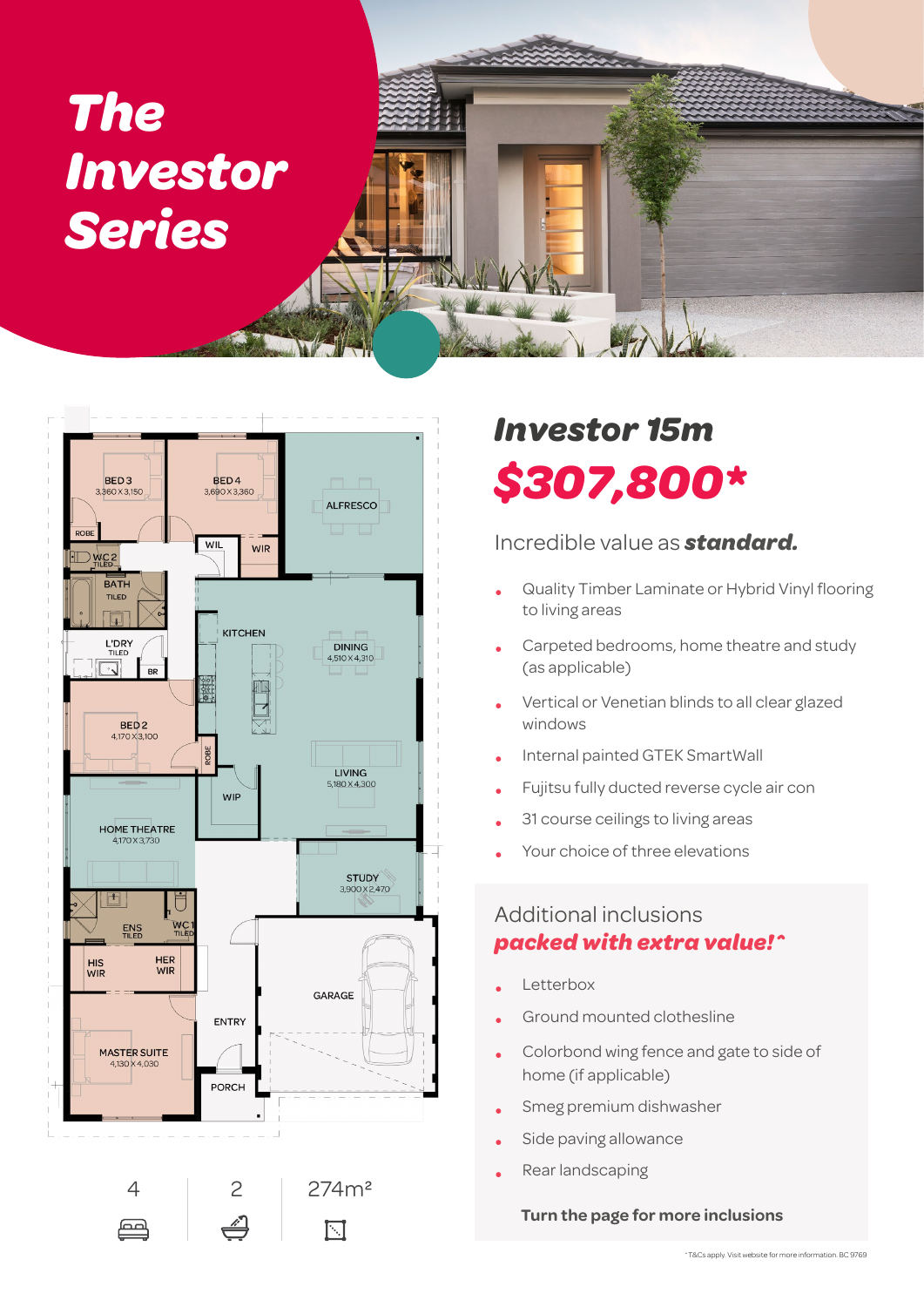# *The Investor Series*



## *Investor 15m \$307,800\**

### Incredible value as *standard.*

- Quality Timber Laminate or Hybrid Vinyl flooring to living areas
- Carpeted bedrooms, home theatre and study (as applicable)
- Vertical or Venetian blinds to all clear glazed windows
- Internal painted GTEK SmartWall
- Fujitsu fully ducted reverse cycle air con
- 31 course ceilings to living areas
- Your choice of three elevations

### Additional inclusions *packed with extra value!^*

- **Letterbox**
- Ground mounted clothesline
- Colorbond wing fence and gate to side of home (if applicable)
- Smeg premium dishwasher
- Side paving allowance
- Rear landscaping

#### **Turn the page for more inclusions**